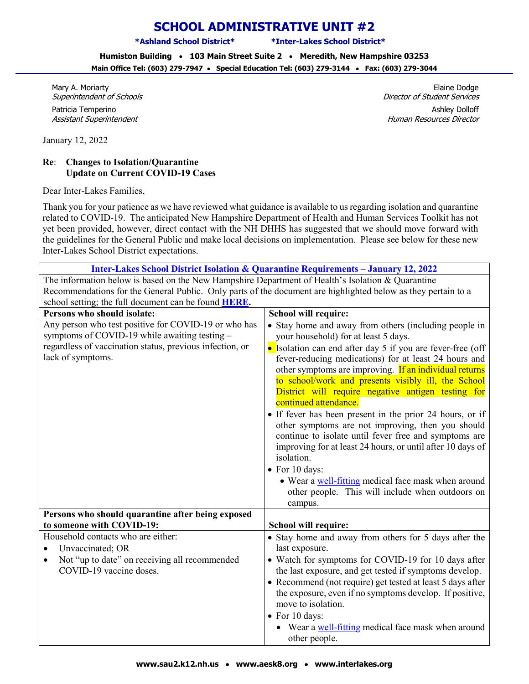## **SCHOOL ADMINISTRATIVE UNIT #2**

**\*Ashland School District\* \*Inter-Lakes School District\***

**Humiston Building** • **103 Main Street Suite 2** • **Meredith, New Hampshire 03253 Main Office Tel: (603) 279-7947** • **Special Education Tel: (603) 279-3144** • **Fax: (603) 279-3044**

Mary A. Moriarty Superintendent of Schools

Patricia Temperino Assistant Superintendent

January 12, 2022

## **Re**: **Changes to Isolation/Quarantine Update on Current COVID-19 Cases**

Dear Inter-Lakes Families,

Thank you for your patience as we have reviewed what guidance is available to us regarding isolation and quarantine related to COVID-19. The anticipated New Hampshire Department of Health and Human Services Toolkit has not yet been provided, however, direct contact with the NH DHHS has suggested that we should move forward with the guidelines for the General Public and make local decisions on implementation. Please see below for these new Inter-Lakes School District expectations.

| <b>Inter-Lakes School District Isolation &amp; Quarantine Requirements - January 12, 2022</b>                                                                                          |                                                                                                                                                                                                                                                                                                                                                                                                                                                                                                                                                                                                                                                                                                                                                     |
|----------------------------------------------------------------------------------------------------------------------------------------------------------------------------------------|-----------------------------------------------------------------------------------------------------------------------------------------------------------------------------------------------------------------------------------------------------------------------------------------------------------------------------------------------------------------------------------------------------------------------------------------------------------------------------------------------------------------------------------------------------------------------------------------------------------------------------------------------------------------------------------------------------------------------------------------------------|
| The information below is based on the New Hampshire Department of Health's Isolation & Quarantine                                                                                      |                                                                                                                                                                                                                                                                                                                                                                                                                                                                                                                                                                                                                                                                                                                                                     |
| Recommendations for the General Public. Only parts of the document are highlighted below as they pertain to a                                                                          |                                                                                                                                                                                                                                                                                                                                                                                                                                                                                                                                                                                                                                                                                                                                                     |
| school setting; the full document can be found <b>HERE</b> .                                                                                                                           |                                                                                                                                                                                                                                                                                                                                                                                                                                                                                                                                                                                                                                                                                                                                                     |
| Persons who should isolate:                                                                                                                                                            | <b>School will require:</b>                                                                                                                                                                                                                                                                                                                                                                                                                                                                                                                                                                                                                                                                                                                         |
| Any person who test positive for COVID-19 or who has<br>symptoms of COVID-19 while awaiting testing -<br>regardless of vaccination status, previous infection, or<br>lack of symptoms. | • Stay home and away from others (including people in<br>your household) for at least 5 days.<br>• Isolation can end after day 5 if you are fever-free (off<br>fever-reducing medications) for at least 24 hours and<br>other symptoms are improving. If an individual returns<br>to school/work and presents visibly ill, the School<br>District will require negative antigen testing for<br>continued attendance.<br>• If fever has been present in the prior 24 hours, or if<br>other symptoms are not improving, then you should<br>continue to isolate until fever free and symptoms are<br>improving for at least 24 hours, or until after 10 days of<br>isolation.<br>• For 10 days:<br>• Wear a well-fitting medical face mask when around |
|                                                                                                                                                                                        | other people. This will include when outdoors on<br>campus.                                                                                                                                                                                                                                                                                                                                                                                                                                                                                                                                                                                                                                                                                         |
| Persons who should quarantine after being exposed                                                                                                                                      |                                                                                                                                                                                                                                                                                                                                                                                                                                                                                                                                                                                                                                                                                                                                                     |
| to someone with COVID-19:                                                                                                                                                              | <b>School will require:</b>                                                                                                                                                                                                                                                                                                                                                                                                                                                                                                                                                                                                                                                                                                                         |
| Household contacts who are either:                                                                                                                                                     | • Stay home and away from others for 5 days after the                                                                                                                                                                                                                                                                                                                                                                                                                                                                                                                                                                                                                                                                                               |
| Unvaccinated; OR                                                                                                                                                                       | last exposure.                                                                                                                                                                                                                                                                                                                                                                                                                                                                                                                                                                                                                                                                                                                                      |
| Not "up to date" on receiving all recommended                                                                                                                                          | • Watch for symptoms for COVID-19 for 10 days after                                                                                                                                                                                                                                                                                                                                                                                                                                                                                                                                                                                                                                                                                                 |
| COVID-19 vaccine doses.                                                                                                                                                                | the last exposure, and get tested if symptoms develop.                                                                                                                                                                                                                                                                                                                                                                                                                                                                                                                                                                                                                                                                                              |
|                                                                                                                                                                                        | • Recommend (not require) get tested at least 5 days after<br>the exposure, even if no symptoms develop. If positive,<br>move to isolation.<br>• For 10 days:<br>• Wear a well-fitting medical face mask when around<br>other people.                                                                                                                                                                                                                                                                                                                                                                                                                                                                                                               |

Elaine Dodge Director of Student Services

Ashley Dolloff Human Resources Director